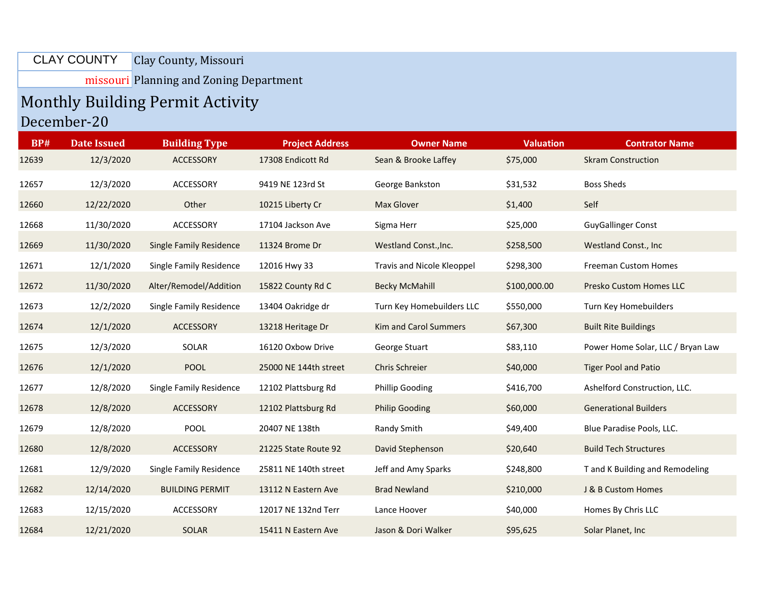## Clay County, Missouri CLAY COUNTY

missouri Planning and Zoning Department

## Monthly Building Permit Activity December-20

| <b>BP#</b> | <b>Date Issued</b> | <b>Building Type</b>           | <b>Project Address</b> | <b>Owner Name</b>          | <b>Valuation</b> | <b>Contrator Name</b>             |
|------------|--------------------|--------------------------------|------------------------|----------------------------|------------------|-----------------------------------|
| 12639      | 12/3/2020          | <b>ACCESSORY</b>               | 17308 Endicott Rd      | Sean & Brooke Laffey       | \$75,000         | <b>Skram Construction</b>         |
| 12657      | 12/3/2020          | <b>ACCESSORY</b>               | 9419 NE 123rd St       | George Bankston            | \$31,532         | <b>Boss Sheds</b>                 |
| 12660      | 12/22/2020         | Other                          | 10215 Liberty Cr       | <b>Max Glover</b>          | \$1,400          | Self                              |
| 12668      | 11/30/2020         | <b>ACCESSORY</b>               | 17104 Jackson Ave      | Sigma Herr                 | \$25,000         | <b>GuyGallinger Const</b>         |
| 12669      | 11/30/2020         | <b>Single Family Residence</b> | 11324 Brome Dr         | Westland Const., Inc.      | \$258,500        | Westland Const., Inc              |
| 12671      | 12/1/2020          | Single Family Residence        | 12016 Hwy 33           | Travis and Nicole Kleoppel | \$298,300        | <b>Freeman Custom Homes</b>       |
| 12672      | 11/30/2020         | Alter/Remodel/Addition         | 15822 County Rd C      | <b>Becky McMahill</b>      | \$100,000.00     | Presko Custom Homes LLC           |
| 12673      | 12/2/2020          | <b>Single Family Residence</b> | 13404 Oakridge dr      | Turn Key Homebuilders LLC  | \$550,000        | Turn Key Homebuilders             |
| 12674      | 12/1/2020          | <b>ACCESSORY</b>               | 13218 Heritage Dr      | Kim and Carol Summers      | \$67,300         | <b>Built Rite Buildings</b>       |
| 12675      | 12/3/2020          | SOLAR                          | 16120 Oxbow Drive      | George Stuart              | \$83,110         | Power Home Solar, LLC / Bryan Law |
| 12676      | 12/1/2020          | <b>POOL</b>                    | 25000 NE 144th street  | <b>Chris Schreier</b>      | \$40,000         | <b>Tiger Pool and Patio</b>       |
| 12677      | 12/8/2020          | Single Family Residence        | 12102 Plattsburg Rd    | <b>Phillip Gooding</b>     | \$416,700        | Ashelford Construction, LLC.      |
| 12678      | 12/8/2020          | <b>ACCESSORY</b>               | 12102 Plattsburg Rd    | <b>Philip Gooding</b>      | \$60,000         | <b>Generational Builders</b>      |
| 12679      | 12/8/2020          | POOL                           | 20407 NE 138th         | Randy Smith                | \$49,400         | Blue Paradise Pools, LLC.         |
| 12680      | 12/8/2020          | <b>ACCESSORY</b>               | 21225 State Route 92   | David Stephenson           | \$20,640         | <b>Build Tech Structures</b>      |
| 12681      | 12/9/2020          | Single Family Residence        | 25811 NE 140th street  | Jeff and Amy Sparks        | \$248,800        | T and K Building and Remodeling   |
| 12682      | 12/14/2020         | <b>BUILDING PERMIT</b>         | 13112 N Eastern Ave    | <b>Brad Newland</b>        | \$210,000        | J & B Custom Homes                |
| 12683      | 12/15/2020         | <b>ACCESSORY</b>               | 12017 NE 132nd Terr    | Lance Hoover               | \$40,000         | Homes By Chris LLC                |
| 12684      | 12/21/2020         | <b>SOLAR</b>                   | 15411 N Eastern Ave    | Jason & Dori Walker        | \$95,625         | Solar Planet, Inc.                |